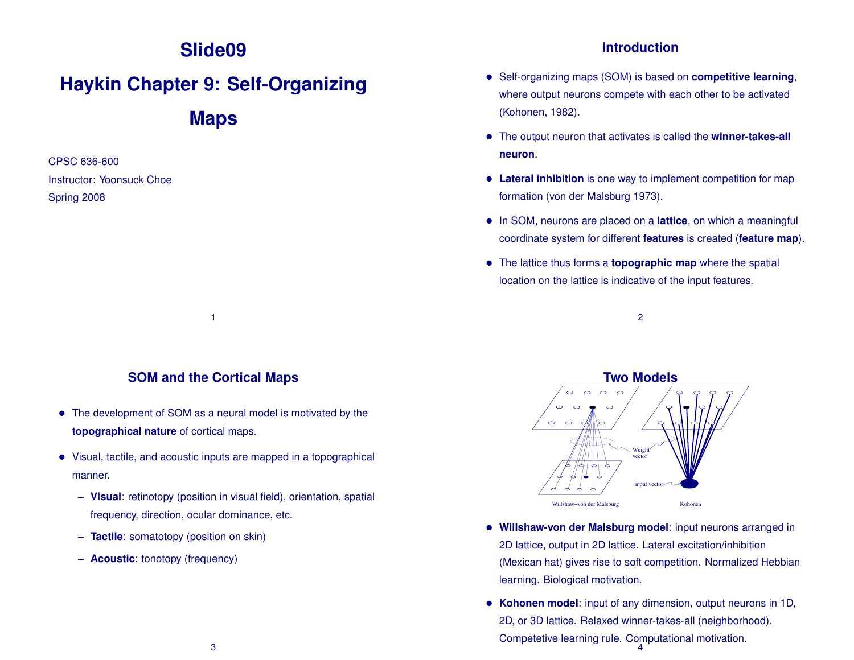# **Slide09**

# **Haykin Chapter 9: Self-Organizing**

**Maps**

CPSC 636-600 Instructor: Yoonsuck Choe Spring 2008

#### **Introduction**

- Self-organizing maps (SOM) is based on **competitive learning**, where output neurons compete with each other to be activated (Kohonen, 1982).
- The output neuron that activates is called the **winner-takes-all neuron**.
- **Lateral inhibition** is one way to implement competition for map formation (von der Malsburg 1973).
- In SOM, neurons are placed on a **lattice**, on which a meaningful coordinate system for different **features** is created (**feature map**).
- The lattice thus forms a **topographic map** where the spatial location on the lattice is indicative of the input features.

2



1

- The development of SOM as a neural model is motivated by the **topographical nature** of cortical maps.
- Visual, tactile, and acoustic inputs are mapped in a topographical manner.
	- **– Visual**: retinotopy (position in visual field), orientation, spatial frequency, direction, ocular dominance, etc.
	- **– Tactile**: somatotopy (position on skin)
	- **– Acoustic**: tonotopy (frequency)



- **Willshaw-von der Malsburg model**: input neurons arranged in 2D lattice, output in 2D lattice. Lateral excitation/inhibition (Mexican hat) gives rise to soft competition. Normalized Hebbian learning. Biological motivation.
- **Kohonen model**: input of any dimension, output neurons in 1D, 2D, or 3D lattice. Relaxed winner-takes-all (neighborhood). Competetive learning rule. Computational motivation. 4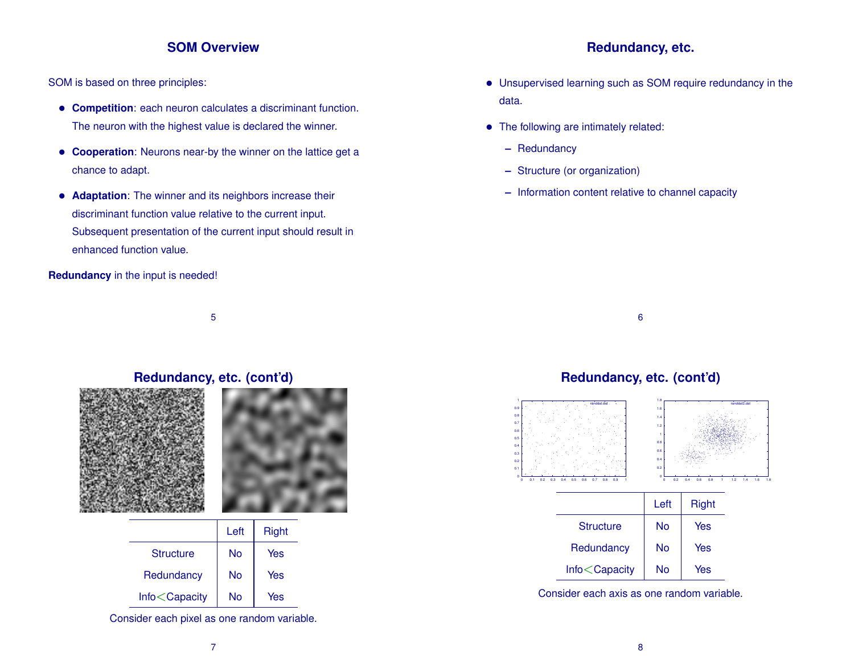#### **SOM Overview**

SOM is based on three principles:

- **Competition**: each neuron calculates a discriminant function. The neuron with the highest value is declared the winner.
- **Cooperation**: Neurons near-by the winner on the lattice get a chance to adapt.
- **Adaptation**: The winner and its neighbors increase their discriminant function value relative to the current input. Subsequent presentation of the current input should result in enhanced function value.

**Redundancy** in the input is needed!

5

# **Redundancy, etc. (cont'd)**





|                                                           | Left | <b>Right</b> |
|-----------------------------------------------------------|------|--------------|
| <b>Structure</b>                                          | N٥   | Yes          |
| Redundancy                                                | No   | Yes          |
| Info <capacity< td=""><td>N٥</td><td>Yes</td></capacity<> | N٥   | Yes          |

Consider each pixel as one random variable.

#### **Redundancy, etc.**

- Unsupervised learning such as SOM require redundancy in the data.
- The following are intimately related:
	- **–** Redundancy

 0  $0.1 +$  $0.2 F$  $0.3 +$  $0.4 +$  $0.5 +$  0.6  $0.7 +$  0.8 0.9 F 1

- **–** Structure (or organization)
- **–** Information content relative to channel capacity



#### **Redundancy, etc. (cont'd)** 0 0.1 0.2 0.3 0.4 0.5 0.6 0.7 0.8 0.9 1 randdat.dat 0  $0.2 +$  $0.4 +$  0.6  $0.8 +$ 1 F 1.2 1.4 1.6 1.8 0 0.2 0.4 0.6 0.8 1 1.2 1.4 1.6 1.8 randdat2.dat

|                   | Left | <b>Right</b> |
|-------------------|------|--------------|
| <b>Structure</b>  | No   | Yes          |
| Redundancy        | No   | Yes          |
| $Info <$ Capacity | No   | Yes          |

Consider each axis as one random variable.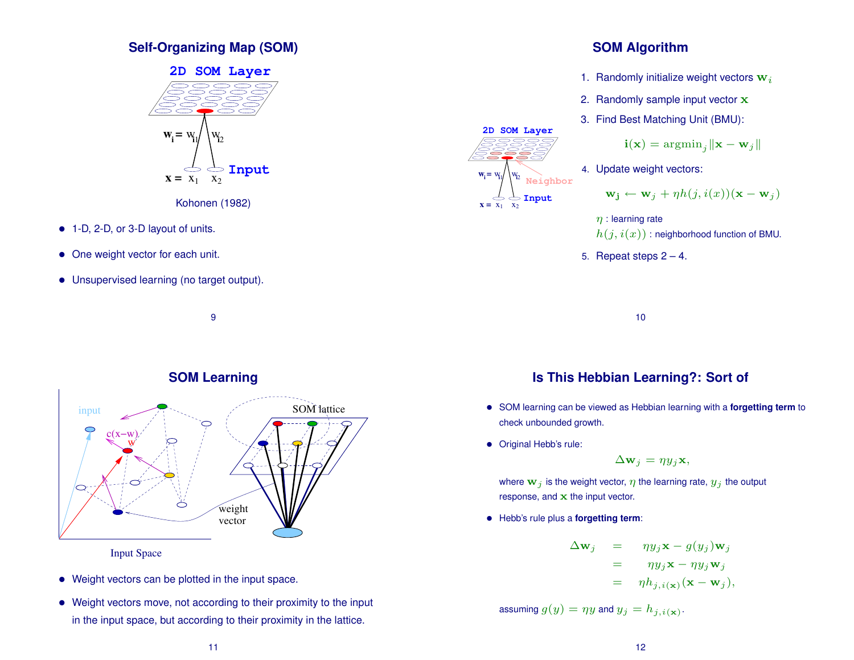# **Self-Organizing Map (SOM)**



- 1-D, 2-D, or 3-D layout of units.
- One weight vector for each unit.
- Unsupervised learning (no target output).



9



Input Space

- Weight vectors can be plotted in the input space.
- Weight vectors move, not according to their proximity to the input in the input space, but according to their proximity in the lattice.
- 1. Randomly initialize weight vectors  $w_i$
- 2. Randomly sample input vector x
- 3. Find Best Matching Unit (BMU):

$$
\mathbf{i}(\mathbf{x}) = \operatorname{argmin}_{j} \|\mathbf{x} - \mathbf{w}_{j}\|
$$
  
4. Update weight vectors:  

$$
\mathbf{w}_{\mathbf{j}} \leftarrow \mathbf{w}_{j} + \eta h(j, i(x))(\mathbf{x} - \mathbf{w}_{j})
$$

$$
\eta : \text{learning rate}
$$

 $h(j, i(x))$ : neighborhood function of BMU.

5. Repeat steps  $2 - 4$ .

10

# **Is This Hebbian Learning?: Sort of**

- SOM learning can be viewed as Hebbian learning with a **forgetting term** to check unbounded growth.
- Original Hebb's rule:

 $\mathbf{x} = \mathbf{x}_1 \quad \mathbf{x}_2$ 

 $\mathbf{w}_i = \mathbf{w}_i$ 

 $1 \quad X_2$ 

 $W_{12}$ 

**Input Neighbor**

**2D SOM Layer**

$$
\Delta \mathbf{w}_j = \eta y_j \mathbf{x},
$$

where  $\mathbf{w}_j$  is the weight vector,  $\eta$  the learning rate,  $y_j$  the output response, and  $x$  the input vector.

• Hebb's rule plus a **forgetting term**:

$$
\Delta \mathbf{w}_j = \eta y_j \mathbf{x} - g(y_j) \mathbf{w}_j \n= \eta y_j \mathbf{x} - \eta y_j \mathbf{w}_j \n= \eta h_{j,i(\mathbf{x})} (\mathbf{x} - \mathbf{w}_j),
$$

assuming  $g(y) = \eta y$  and  $y_j = h_{j,i(\mathbf{x})}$ .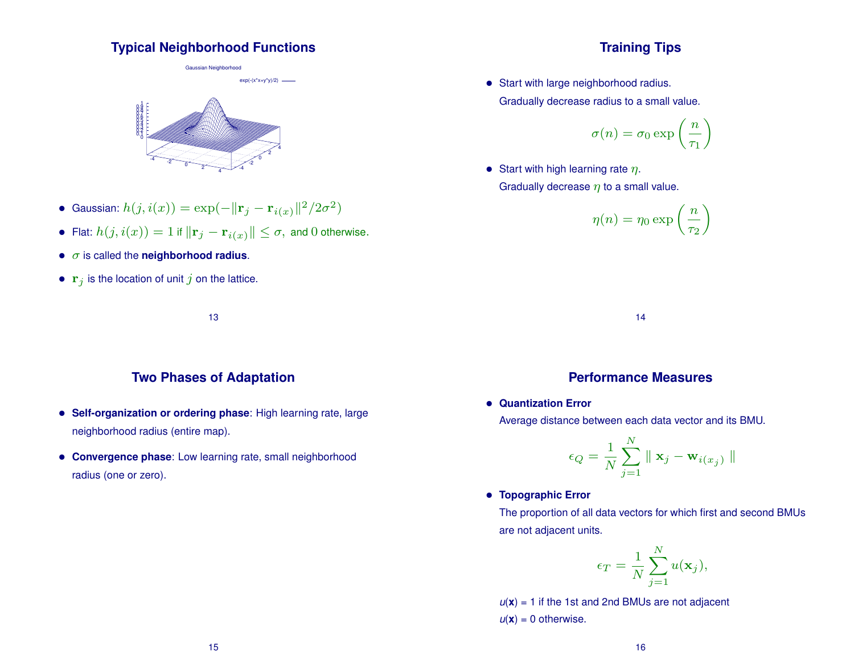#### **Typical Neighborhood Functions**

Gaussian Neighborhood



- Gaussian:  $h(j,i(x)) = \exp(-\|\mathbf{r}_j \mathbf{r}_{i(x)}\|^2/2\sigma^2)$
- Flat:  $h(j,i(x)) = 1$  if  $\|\mathbf{r}_j \mathbf{r}_{i(x)}\| \leq \sigma,$  and  $0$  otherwise.
- σ is called the **neighborhood radius**.
- $\mathbf{r}_j$  is the location of unit j on the lattice.

13

# **Two Phases of Adaptation**

- **Self-organization or ordering phase**: High learning rate, large neighborhood radius (entire map).
- **Convergence phase**: Low learning rate, small neighborhood radius (one or zero).

# **Training Tips**

• Start with large neighborhood radius. Gradually decrease radius to a small value.

$$
\sigma(n) = \sigma_0 \exp\left(\frac{n}{\tau_1}\right)
$$

• Start with high learning rate  $\eta$ . Gradually decrease  $\eta$  to a small value.

$$
\eta(n) = \eta_0 \exp\left(\frac{n}{\tau_2}\right)
$$

14

#### **Performance Measures**

• **Quantization Error**

Average distance between each data vector and its BMU.

$$
\epsilon_Q = \frac{1}{N} \sum_{j=1}^N \parallel \mathbf{x}_j - \mathbf{w}_{i(x_j)} \parallel
$$

• **Topographic Error**

The proportion of all data vectors for which first and second BMUs are not adjacent units.

$$
\epsilon_T = \frac{1}{N} \sum_{j=1}^N u(\mathbf{x}_j),
$$

 $u(x) = 1$  if the 1st and 2nd BMUs are not adjacent  $u(\mathbf{x}) = 0$  otherwise.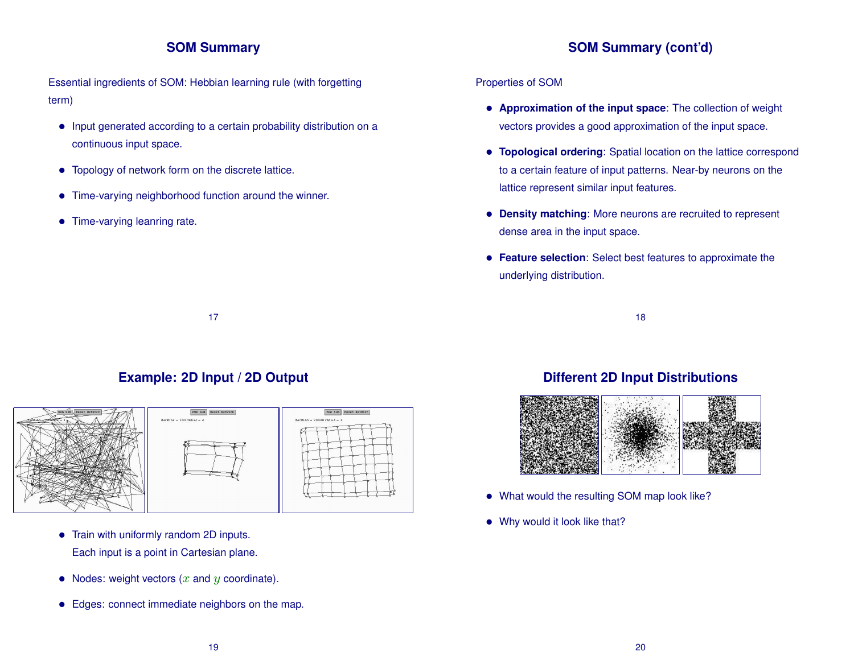# **SOM Summary**

**SOM Summary (cont'd)**

Essential ingredients of SOM: Hebbian learning rule (with forgetting term)

- Input generated according to a certain probability distribution on a continuous input space.
- Topology of network form on the discrete lattice.
- Time-varying neighborhood function around the winner.
- Time-varying leanring rate.

#### Properties of SOM

- **Approximation of the input space**: The collection of weight vectors provides a good approximation of the input space.
- **Topological ordering**: Spatial location on the lattice correspond to a certain feature of input patterns. Near-by neurons on the lattice represent similar input features.
- **Density matching**: More neurons are recruited to represent dense area in the input space.
- **Feature selection**: Select best features to approximate the underlying distribution.

18

**Example: 2D Input / 2D Output**

17



- Train with uniformly random 2D inputs. Each input is a point in Cartesian plane.
- Nodes: weight vectors  $(x \text{ and } y \text{ coordinate})$ .
- Edges: connect immediate neighbors on the map.

# **Different 2D Input Distributions**



- What would the resulting SOM map look like?
- Why would it look like that?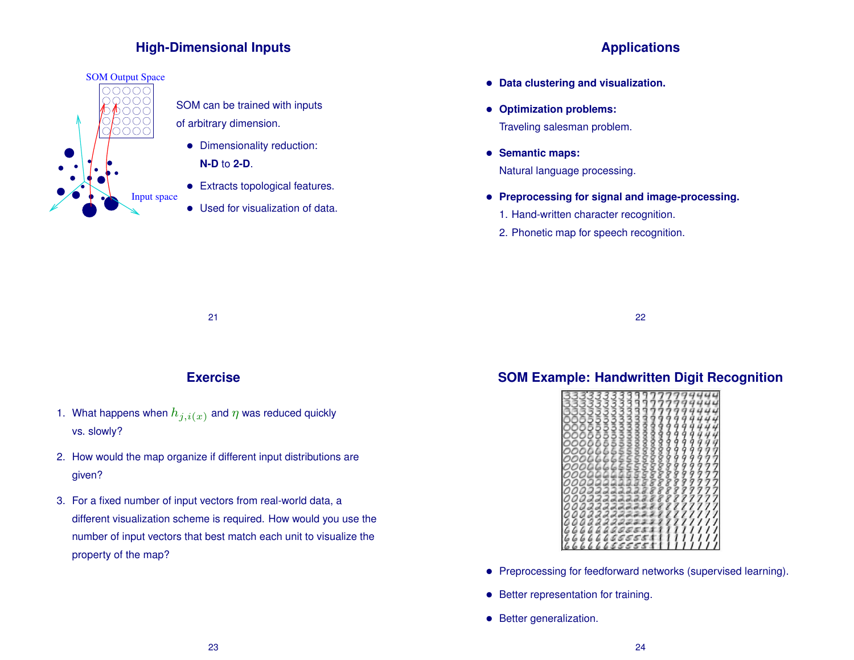# **High-Dimensional Inputs**



SOM can be trained with inputs of arbitrary dimension.

- Dimensionality reduction: **N-D** to **2-D**.
- Extracts topological features.
- Used for visualization of data.

# **Applications**

- **Data clustering and visualization.**
- **Optimization problems:** Traveling salesman problem.
- **Semantic maps:** Natural language processing.
- **Preprocessing for signal and image-processing.**
	- 1. Hand-written character recognition.
	- 2. Phonetic map for speech recognition.

21

# **Exercise**

- 1. What happens when  $h_{j,i(x)}$  and  $\eta$  was reduced quickly vs. slowly?
- 2. How would the map organize if different input distributions are given?
- 3. For a fixed number of input vectors from real-world data, a different visualization scheme is required. How would you use the number of input vectors that best match each unit to visualize the property of the map?

# **SOM Example: Handwritten Digit Recognition**

22



- Preprocessing for feedforward networks (supervised learning).
- Better representation for training.
- Better generalization.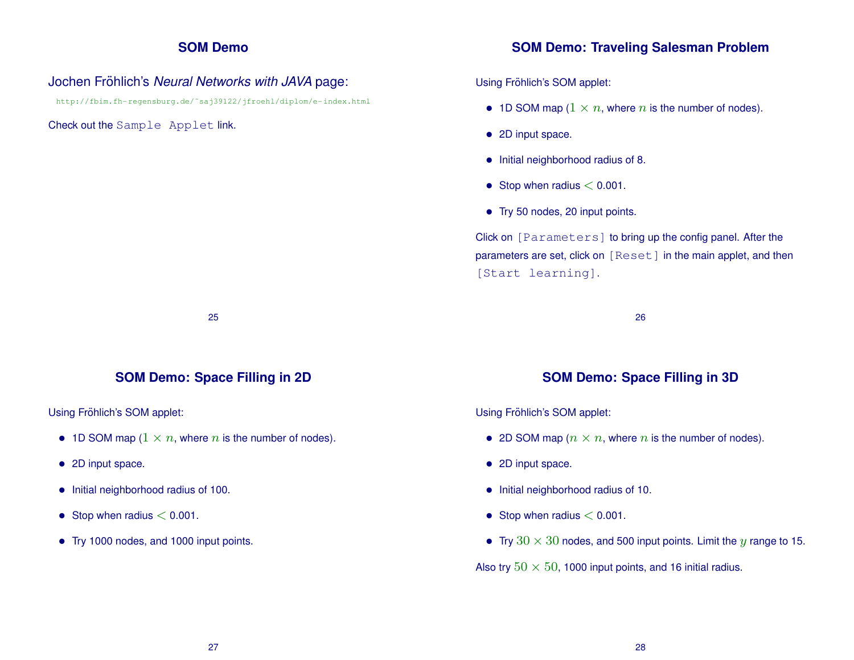#### **SOM Demo**

#### Jochen Fröhlich's Neural Networks with JAVA page:

http://fbim.fh-regensburg.de/˜saj39122/jfroehl/diplom/e-index.html

#### Check out the Sample Applet link.

#### **SOM Demo: Traveling Salesman Problem**

Using Fröhlich's SOM applet:

- 1D SOM map  $(1 \times n$ , where *n* is the number of nodes).
- 2D input space.
- Initial neighborhood radius of 8.
- Stop when radius  $< 0.001$ .
- Try 50 nodes, 20 input points.

Click on [Parameters] to bring up the config panel. After the parameters are set, click on [Reset] in the main applet, and then [Start learning].

26

# **SOM Demo: Space Filling in 2D**

25

Using Fröhlich's SOM applet:

- 1D SOM map  $(1 \times n$ , where n is the number of nodes).
- 2D input space.
- Initial neighborhood radius of 100.
- Stop when radius  $< 0.001$ .
- Try 1000 nodes, and 1000 input points.

# **SOM Demo: Space Filling in 3D**

Using Fröhlich's SOM applet:

- 2D SOM map  $(n \times n)$ , where n is the number of nodes).
- 2D input space.
- Initial neighborhood radius of 10.
- Stop when radius  $< 0.001$ .
- Try  $30 \times 30$  nodes, and 500 input points. Limit the y range to 15.

Also try  $50 \times 50$ , 1000 input points, and 16 initial radius.

27